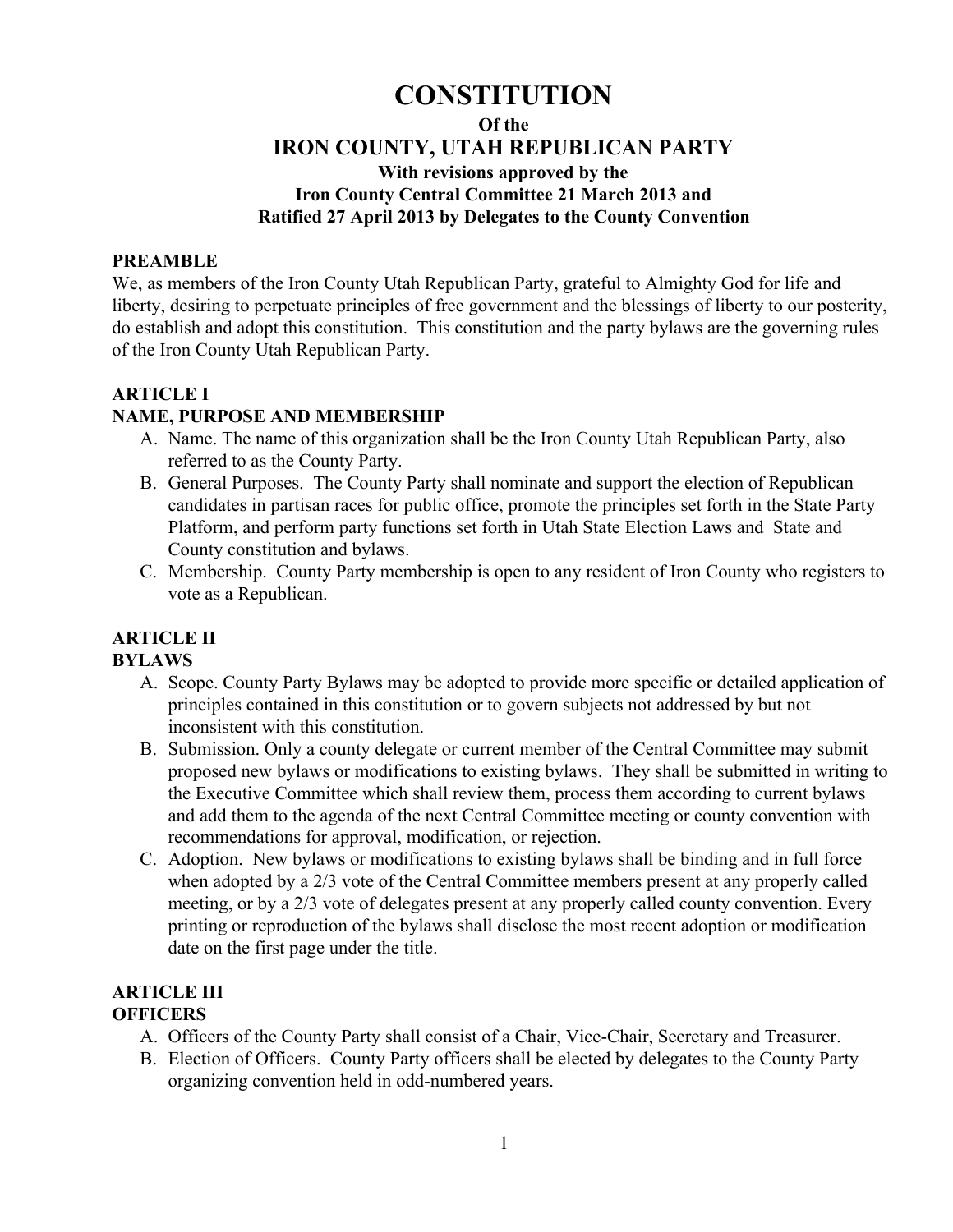# **CONSTITUTION**

#### **Of the**

# **IRON COUNTY, UTAH REPUBLICAN PARTY**

## **With revisions approved by the**

# **Iron County Central Committee 21 March 2013 and**

## **Ratified 27 April 2013 by Delegates to the County Convention**

#### **PREAMBLE**

We, as members of the Iron County Utah Republican Party, grateful to Almighty God for life and liberty, desiring to perpetuate principles of free government and the blessings of liberty to our posterity, do establish and adopt this constitution. This constitution and the party bylaws are the governing rules of the Iron County Utah Republican Party.

#### **ARTICLE I**

#### **NAME, PURPOSE AND MEMBERSHIP**

- A. Name. The name of this organization shall be the Iron County Utah Republican Party, also referred to as the County Party.
- B. General Purposes. The County Party shall nominate and support the election of Republican candidates in partisan races for public office, promote the principles set forth in the State Party Platform, and perform party functions set forth in Utah State Election Laws and State and County constitution and bylaws.
- C. Membership. County Party membership is open to any resident of Iron County who registers to vote as a Republican.

# **ARTICLE II**

#### **BYLAWS**

- A. Scope. County Party Bylaws may be adopted to provide more specific or detailed application of principles contained in this constitution or to govern subjects not addressed by but not inconsistent with this constitution.
- B. Submission. Only a county delegate or current member of the Central Committee may submit proposed new bylaws or modifications to existing bylaws. They shall be submitted in writing to the Executive Committee which shall review them, process them according to current bylaws and add them to the agenda of the next Central Committee meeting or county convention with recommendations for approval, modification, or rejection.
- C. Adoption. New bylaws or modifications to existing bylaws shall be binding and in full force when adopted by a 2/3 vote of the Central Committee members present at any properly called meeting, or by a 2/3 vote of delegates present at any properly called county convention. Every printing or reproduction of the bylaws shall disclose the most recent adoption or modification date on the first page under the title.

#### **ARTICLE III OFFICERS**

- A. Officers of the County Party shall consist of a Chair, Vice-Chair, Secretary and Treasurer.
- B. Election of Officers. County Party officers shall be elected by delegates to the County Party organizing convention held in odd-numbered years.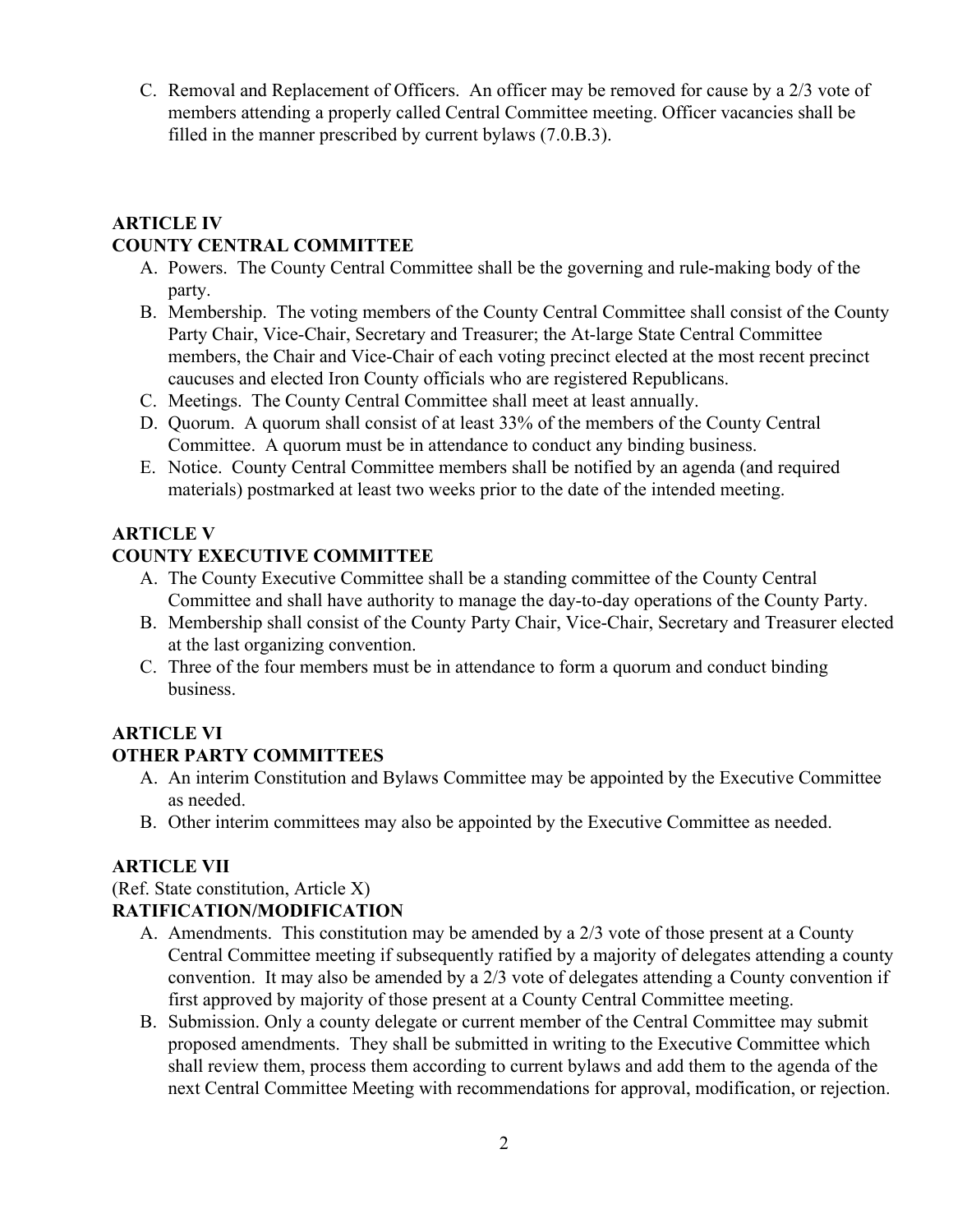C. Removal and Replacement of Officers. An officer may be removed for cause by a 2/3 vote of members attending a properly called Central Committee meeting. Officer vacancies shall be filled in the manner prescribed by current bylaws (7.0.B.3).

## **ARTICLE IV COUNTY CENTRAL COMMITTEE**

- A. Powers. The County Central Committee shall be the governing and rule-making body of the party.
- B. Membership. The voting members of the County Central Committee shall consist of the County Party Chair, Vice-Chair, Secretary and Treasurer; the At-large State Central Committee members, the Chair and Vice-Chair of each voting precinct elected at the most recent precinct caucuses and elected Iron County officials who are registered Republicans.
- C. Meetings. The County Central Committee shall meet at least annually.
- D. Quorum. A quorum shall consist of at least 33% of the members of the County Central Committee. A quorum must be in attendance to conduct any binding business.
- E. Notice. County Central Committee members shall be notified by an agenda (and required materials) postmarked at least two weeks prior to the date of the intended meeting.

## **ARTICLE V**

## **COUNTY EXECUTIVE COMMITTEE**

- A. The County Executive Committee shall be a standing committee of the County Central Committee and shall have authority to manage the day-to-day operations of the County Party.
- B. Membership shall consist of the County Party Chair, Vice-Chair, Secretary and Treasurer elected at the last organizing convention.
- C. Three of the four members must be in attendance to form a quorum and conduct binding business.

## **ARTICLE VI**

## **OTHER PARTY COMMITTEES**

- A. An interim Constitution and Bylaws Committee may be appointed by the Executive Committee as needed.
- B. Other interim committees may also be appointed by the Executive Committee as needed.

## **ARTICLE VII**

# (Ref. State constitution, Article X)

## **RATIFICATION/MODIFICATION**

- A. Amendments. This constitution may be amended by a 2/3 vote of those present at a County Central Committee meeting if subsequently ratified by a majority of delegates attending a county convention. It may also be amended by a 2/3 vote of delegates attending a County convention if first approved by majority of those present at a County Central Committee meeting.
- B. Submission. Only a county delegate or current member of the Central Committee may submit proposed amendments. They shall be submitted in writing to the Executive Committee which shall review them, process them according to current bylaws and add them to the agenda of the next Central Committee Meeting with recommendations for approval, modification, or rejection.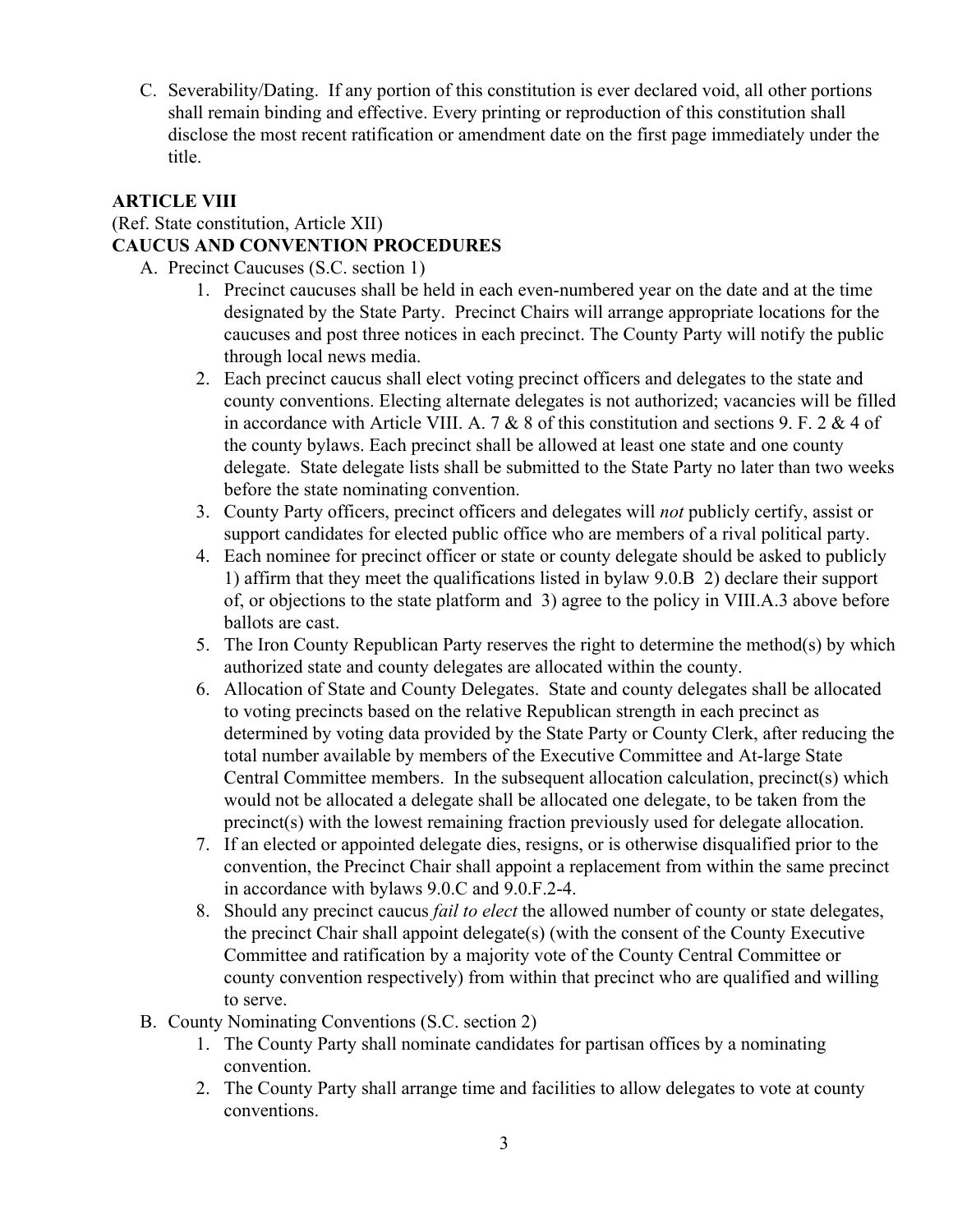C. Severability/Dating. If any portion of this constitution is ever declared void, all other portions shall remain binding and effective. Every printing or reproduction of this constitution shall disclose the most recent ratification or amendment date on the first page immediately under the title.

#### **ARTICLE VIII**

#### (Ref. State constitution, Article XII) **CAUCUS AND CONVENTION PROCEDURES**

- A. Precinct Caucuses (S.C. section 1)
	- 1. Precinct caucuses shall be held in each even-numbered year on the date and at the time designated by the State Party. Precinct Chairs will arrange appropriate locations for the caucuses and post three notices in each precinct. The County Party will notify the public through local news media.
	- 2. Each precinct caucus shall elect voting precinct officers and delegates to the state and county conventions. Electing alternate delegates is not authorized; vacancies will be filled in accordance with Article VIII. A. 7 & 8 of this constitution and sections 9. F. 2 & 4 of the county bylaws. Each precinct shall be allowed at least one state and one county delegate. State delegate lists shall be submitted to the State Party no later than two weeks before the state nominating convention.
	- 3. County Party officers, precinct officers and delegates will *not* publicly certify, assist or support candidates for elected public office who are members of a rival political party.
	- 4. Each nominee for precinct officer or state or county delegate should be asked to publicly 1) affirm that they meet the qualifications listed in bylaw 9.0.B 2) declare their support of, or objections to the state platform and 3) agree to the policy in VIII.A.3 above before ballots are cast.
	- 5. The Iron County Republican Party reserves the right to determine the method(s) by which authorized state and county delegates are allocated within the county.
	- 6. Allocation of State and County Delegates. State and county delegates shall be allocated to voting precincts based on the relative Republican strength in each precinct as determined by voting data provided by the State Party or County Clerk, after reducing the total number available by members of the Executive Committee and At-large State Central Committee members. In the subsequent allocation calculation, precinct(s) which would not be allocated a delegate shall be allocated one delegate, to be taken from the precinct(s) with the lowest remaining fraction previously used for delegate allocation.
	- 7. If an elected or appointed delegate dies, resigns, or is otherwise disqualified prior to the convention, the Precinct Chair shall appoint a replacement from within the same precinct in accordance with bylaws 9.0.C and 9.0.F.2-4.
	- 8. Should any precinct caucus *fail to elect* the allowed number of county or state delegates, the precinct Chair shall appoint delegate(s) (with the consent of the County Executive Committee and ratification by a majority vote of the County Central Committee or county convention respectively) from within that precinct who are qualified and willing to serve.
- B. County Nominating Conventions (S.C. section 2)
	- 1. The County Party shall nominate candidates for partisan offices by a nominating convention.
	- 2. The County Party shall arrange time and facilities to allow delegates to vote at county conventions.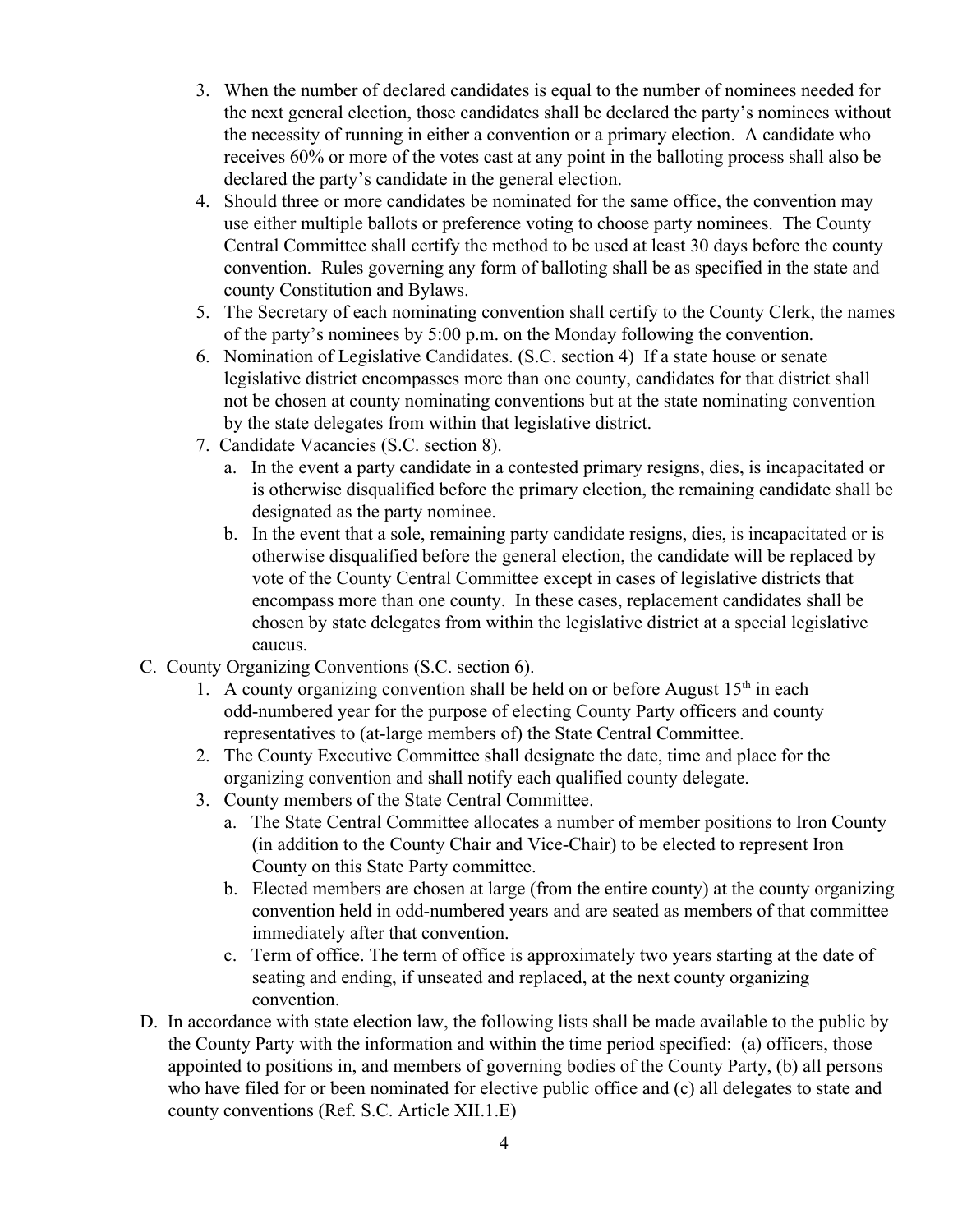- 3. When the number of declared candidates is equal to the number of nominees needed for the next general election, those candidates shall be declared the party's nominees without the necessity of running in either a convention or a primary election. A candidate who receives 60% or more of the votes cast at any point in the balloting process shall also be declared the party's candidate in the general election.
- 4. Should three or more candidates be nominated for the same office, the convention may use either multiple ballots or preference voting to choose party nominees. The County Central Committee shall certify the method to be used at least 30 days before the county convention. Rules governing any form of balloting shall be as specified in the state and county Constitution and Bylaws.
- 5. The Secretary of each nominating convention shall certify to the County Clerk, the names of the party's nominees by 5:00 p.m. on the Monday following the convention.
- 6. Nomination of Legislative Candidates. (S.C. section 4) If a state house or senate legislative district encompasses more than one county, candidates for that district shall not be chosen at county nominating conventions but at the state nominating convention by the state delegates from within that legislative district.
- 7. Candidate Vacancies (S.C. section 8).
	- a. In the event a party candidate in a contested primary resigns, dies, is incapacitated or is otherwise disqualified before the primary election, the remaining candidate shall be designated as the party nominee.
	- b. In the event that a sole, remaining party candidate resigns, dies, is incapacitated or is otherwise disqualified before the general election, the candidate will be replaced by vote of the County Central Committee except in cases of legislative districts that encompass more than one county. In these cases, replacement candidates shall be chosen by state delegates from within the legislative district at a special legislative caucus.
- C. County Organizing Conventions (S.C. section 6).
	- 1. A county organizing convention shall be held on or before August  $15<sup>th</sup>$  in each odd-numbered year for the purpose of electing County Party officers and county representatives to (at-large members of) the State Central Committee.
	- 2. The County Executive Committee shall designate the date, time and place for the organizing convention and shall notify each qualified county delegate.
	- 3. County members of the State Central Committee.
		- a. The State Central Committee allocates a number of member positions to Iron County (in addition to the County Chair and Vice-Chair) to be elected to represent Iron County on this State Party committee.
		- b. Elected members are chosen at large (from the entire county) at the county organizing convention held in odd-numbered years and are seated as members of that committee immediately after that convention.
		- c. Term of office. The term of office is approximately two years starting at the date of seating and ending, if unseated and replaced, at the next county organizing convention.
- D. In accordance with state election law, the following lists shall be made available to the public by the County Party with the information and within the time period specified: (a) officers, those appointed to positions in, and members of governing bodies of the County Party, (b) all persons who have filed for or been nominated for elective public office and (c) all delegates to state and county conventions (Ref. S.C. Article XII.1.E)